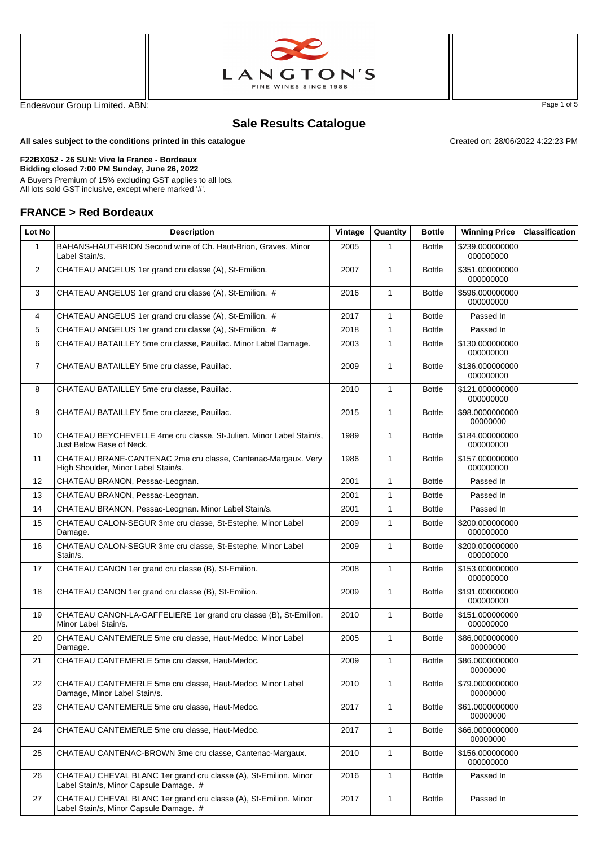



Endeavour Group Limited. ABN: Page 1 of 5

# **Sale Results Catalogue**

**All sales subject to the conditions printed in this catalogue**

#### **F22BX052 - 26 SUN: Vive la France - Bordeaux**

**Bidding closed 7:00 PM Sunday, June 26, 2022**

A Buyers Premium of 15% excluding GST applies to all lots. All lots sold GST inclusive, except where marked '#'.

### **FRANCE > Red Bordeaux**

| Lot No         | <b>Description</b>                                                                                         | Vintage | Quantity     | <b>Bottle</b> | <b>Winning Price</b>         | <b>Classification</b> |
|----------------|------------------------------------------------------------------------------------------------------------|---------|--------------|---------------|------------------------------|-----------------------|
| $\mathbf{1}$   | BAHANS-HAUT-BRION Second wine of Ch. Haut-Brion, Graves. Minor<br>Label Stain/s.                           | 2005    | $\mathbf{1}$ | <b>Bottle</b> | \$239.000000000<br>000000000 |                       |
| $\overline{2}$ | CHATEAU ANGELUS 1er grand cru classe (A), St-Emilion.                                                      | 2007    | $\mathbf{1}$ | <b>Bottle</b> | \$351.000000000<br>000000000 |                       |
| 3              | CHATEAU ANGELUS 1er grand cru classe (A), St-Emilion. #                                                    | 2016    | $\mathbf{1}$ | <b>Bottle</b> | \$596.000000000<br>000000000 |                       |
| 4              | CHATEAU ANGELUS 1er grand cru classe (A), St-Emilion. #                                                    | 2017    | 1            | <b>Bottle</b> | Passed In                    |                       |
| 5              | CHATEAU ANGELUS 1er grand cru classe (A), St-Emilion. #                                                    | 2018    | $\mathbf{1}$ | <b>Bottle</b> | Passed In                    |                       |
| 6              | CHATEAU BATAILLEY 5me cru classe, Pauillac. Minor Label Damage.                                            | 2003    | $\mathbf{1}$ | <b>Bottle</b> | \$130.000000000<br>000000000 |                       |
| $\overline{7}$ | CHATEAU BATAILLEY 5me cru classe, Pauillac.                                                                | 2009    | $\mathbf{1}$ | <b>Bottle</b> | \$136.000000000<br>000000000 |                       |
| 8              | CHATEAU BATAILLEY 5me cru classe, Pauillac.                                                                | 2010    | $\mathbf{1}$ | <b>Bottle</b> | \$121.000000000<br>000000000 |                       |
| 9              | CHATEAU BATAILLEY 5me cru classe, Pauillac.                                                                | 2015    | 1            | <b>Bottle</b> | \$98.0000000000<br>00000000  |                       |
| 10             | CHATEAU BEYCHEVELLE 4me cru classe, St-Julien. Minor Label Stain/s,<br>Just Below Base of Neck.            | 1989    | $\mathbf{1}$ | <b>Bottle</b> | \$184.000000000<br>000000000 |                       |
| 11             | CHATEAU BRANE-CANTENAC 2me cru classe, Cantenac-Margaux. Very<br>High Shoulder, Minor Label Stain/s.       | 1986    | $\mathbf{1}$ | <b>Bottle</b> | \$157.000000000<br>000000000 |                       |
| 12             | CHATEAU BRANON, Pessac-Leognan.                                                                            | 2001    | $\mathbf{1}$ | <b>Bottle</b> | Passed In                    |                       |
| 13             | CHATEAU BRANON, Pessac-Leognan.                                                                            | 2001    | $\mathbf{1}$ | <b>Bottle</b> | Passed In                    |                       |
| 14             | CHATEAU BRANON, Pessac-Leognan. Minor Label Stain/s.                                                       | 2001    | 1            | <b>Bottle</b> | Passed In                    |                       |
| 15             | CHATEAU CALON-SEGUR 3me cru classe, St-Estephe. Minor Label<br>Damage.                                     | 2009    | $\mathbf{1}$ | <b>Bottle</b> | \$200.000000000<br>000000000 |                       |
| 16             | CHATEAU CALON-SEGUR 3me cru classe, St-Estephe. Minor Label<br>Stain/s.                                    | 2009    | 1            | <b>Bottle</b> | \$200.000000000<br>000000000 |                       |
| 17             | CHATEAU CANON 1er grand cru classe (B), St-Emilion.                                                        | 2008    | 1            | <b>Bottle</b> | \$153.000000000<br>000000000 |                       |
| 18             | CHATEAU CANON 1er grand cru classe (B), St-Emilion.                                                        | 2009    | $\mathbf{1}$ | <b>Bottle</b> | \$191.000000000<br>000000000 |                       |
| 19             | CHATEAU CANON-LA-GAFFELIERE 1er grand cru classe (B), St-Emilion.<br>Minor Label Stain/s.                  | 2010    | $\mathbf{1}$ | <b>Bottle</b> | \$151.000000000<br>000000000 |                       |
| 20             | CHATEAU CANTEMERLE 5me cru classe, Haut-Medoc. Minor Label<br>Damage.                                      | 2005    | $\mathbf{1}$ | <b>Bottle</b> | \$86.0000000000<br>00000000  |                       |
| 21             | CHATEAU CANTEMERLE 5me cru classe, Haut-Medoc.                                                             | 2009    | $\mathbf{1}$ | <b>Bottle</b> | \$86.0000000000<br>00000000  |                       |
| 22             | CHATEAU CANTEMERLE 5me cru classe, Haut-Medoc. Minor Label<br>Damage, Minor Label Stain/s.                 | 2010    | 1            | <b>Bottle</b> | \$79.0000000000<br>00000000  |                       |
| 23             | CHATEAU CANTEMERLE 5me cru classe, Haut-Medoc.                                                             | 2017    | 1            | <b>Bottle</b> | \$61.0000000000<br>00000000  |                       |
| 24             | CHATEAU CANTEMERLE 5me cru classe, Haut-Medoc.                                                             | 2017    | $\mathbf{1}$ | <b>Bottle</b> | \$66.0000000000<br>00000000  |                       |
| 25             | CHATEAU CANTENAC-BROWN 3me cru classe, Cantenac-Margaux.                                                   | 2010    | $\mathbf{1}$ | <b>Bottle</b> | \$156.000000000<br>000000000 |                       |
| 26             | CHATEAU CHEVAL BLANC 1er grand cru classe (A), St-Emilion. Minor<br>Label Stain/s, Minor Capsule Damage. # | 2016    | $\mathbf{1}$ | <b>Bottle</b> | Passed In                    |                       |
| 27             | CHATEAU CHEVAL BLANC 1er grand cru classe (A), St-Emilion. Minor<br>Label Stain/s, Minor Capsule Damage. # | 2017    | $\mathbf{1}$ | <b>Bottle</b> | Passed In                    |                       |

Created on: 28/06/2022 4:22:23 PM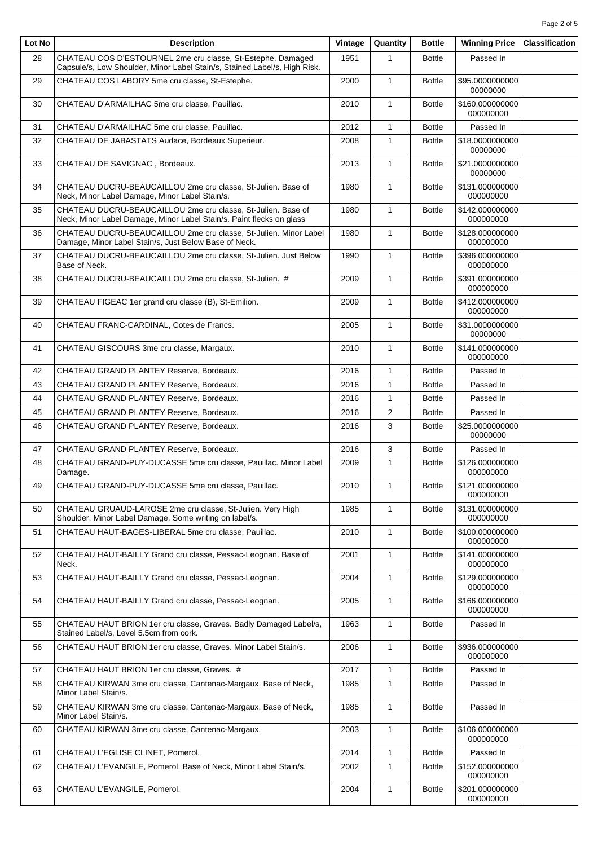| Lot No | <b>Description</b>                                                                                                                       | Vintage | Quantity     | <b>Bottle</b> | <b>Winning Price</b>         | <b>Classification</b> |
|--------|------------------------------------------------------------------------------------------------------------------------------------------|---------|--------------|---------------|------------------------------|-----------------------|
| 28     | CHATEAU COS D'ESTOURNEL 2me cru classe, St-Estephe. Damaged<br>Capsule/s, Low Shoulder, Minor Label Stain/s, Stained Label/s, High Risk. | 1951    | 1            | <b>Bottle</b> | Passed In                    |                       |
| 29     | CHATEAU COS LABORY 5me cru classe, St-Estephe.                                                                                           | 2000    | $\mathbf{1}$ | <b>Bottle</b> | \$95.0000000000<br>00000000  |                       |
| 30     | CHATEAU D'ARMAILHAC 5me cru classe, Pauillac.                                                                                            | 2010    | $\mathbf{1}$ | <b>Bottle</b> | \$160.000000000<br>000000000 |                       |
| 31     | CHATEAU D'ARMAILHAC 5me cru classe, Pauillac.                                                                                            | 2012    | $\mathbf{1}$ | <b>Bottle</b> | Passed In                    |                       |
| 32     | CHATEAU DE JABASTATS Audace, Bordeaux Superieur.                                                                                         | 2008    | $\mathbf{1}$ | <b>Bottle</b> | \$18.0000000000<br>00000000  |                       |
| 33     | CHATEAU DE SAVIGNAC, Bordeaux.                                                                                                           | 2013    | $\mathbf{1}$ | <b>Bottle</b> | \$21.0000000000<br>00000000  |                       |
| 34     | CHATEAU DUCRU-BEAUCAILLOU 2me cru classe, St-Julien. Base of<br>Neck, Minor Label Damage, Minor Label Stain/s.                           | 1980    | $\mathbf{1}$ | <b>Bottle</b> | \$131.000000000<br>000000000 |                       |
| 35     | CHATEAU DUCRU-BEAUCAILLOU 2me cru classe, St-Julien. Base of<br>Neck, Minor Label Damage, Minor Label Stain/s. Paint flecks on glass     | 1980    | 1            | <b>Bottle</b> | \$142.000000000<br>000000000 |                       |
| 36     | CHATEAU DUCRU-BEAUCAILLOU 2me cru classe, St-Julien. Minor Label<br>Damage, Minor Label Stain/s, Just Below Base of Neck.                | 1980    | $\mathbf{1}$ | <b>Bottle</b> | \$128.000000000<br>000000000 |                       |
| 37     | CHATEAU DUCRU-BEAUCAILLOU 2me cru classe, St-Julien. Just Below<br>Base of Neck.                                                         | 1990    | $\mathbf{1}$ | <b>Bottle</b> | \$396.000000000<br>000000000 |                       |
| 38     | CHATEAU DUCRU-BEAUCAILLOU 2me cru classe, St-Julien. #                                                                                   | 2009    | $\mathbf{1}$ | <b>Bottle</b> | \$391.000000000<br>000000000 |                       |
| 39     | CHATEAU FIGEAC 1er grand cru classe (B), St-Emilion.                                                                                     | 2009    | $\mathbf{1}$ | <b>Bottle</b> | \$412.000000000<br>000000000 |                       |
| 40     | CHATEAU FRANC-CARDINAL, Cotes de Francs.                                                                                                 | 2005    | 1            | <b>Bottle</b> | \$31.0000000000<br>00000000  |                       |
| 41     | CHATEAU GISCOURS 3me cru classe, Margaux.                                                                                                | 2010    | $\mathbf{1}$ | <b>Bottle</b> | \$141.000000000<br>000000000 |                       |
| 42     | CHATEAU GRAND PLANTEY Reserve, Bordeaux.                                                                                                 | 2016    | $\mathbf{1}$ | <b>Bottle</b> | Passed In                    |                       |
| 43     | CHATEAU GRAND PLANTEY Reserve, Bordeaux.                                                                                                 | 2016    | $\mathbf{1}$ | <b>Bottle</b> | Passed In                    |                       |
| 44     | CHATEAU GRAND PLANTEY Reserve, Bordeaux.                                                                                                 | 2016    | $\mathbf{1}$ | <b>Bottle</b> | Passed In                    |                       |
| 45     | CHATEAU GRAND PLANTEY Reserve, Bordeaux.                                                                                                 | 2016    | 2            | <b>Bottle</b> | Passed In                    |                       |
| 46     | CHATEAU GRAND PLANTEY Reserve, Bordeaux.                                                                                                 | 2016    | 3            | <b>Bottle</b> | \$25.0000000000<br>00000000  |                       |
| 47     | CHATEAU GRAND PLANTEY Reserve, Bordeaux.                                                                                                 | 2016    | 3            | <b>Bottle</b> | Passed In                    |                       |
| 48     | CHATEAU GRAND-PUY-DUCASSE 5me cru classe, Pauillac. Minor Label<br>Damage.                                                               | 2009    | $\mathbf{1}$ | <b>Bottle</b> | \$126.000000000<br>000000000 |                       |
| 49     | CHATEAU GRAND-PUY-DUCASSE 5me cru classe, Pauillac.                                                                                      | 2010    | $\mathbf{1}$ | <b>Bottle</b> | \$121.000000000<br>000000000 |                       |
| 50     | CHATEAU GRUAUD-LAROSE 2me cru classe, St-Julien. Very High<br>Shoulder, Minor Label Damage, Some writing on label/s.                     | 1985    | $\mathbf{1}$ | <b>Bottle</b> | \$131.000000000<br>000000000 |                       |
| 51     | CHATEAU HAUT-BAGES-LIBERAL 5me cru classe, Pauillac.                                                                                     | 2010    | $\mathbf{1}$ | <b>Bottle</b> | \$100.000000000<br>000000000 |                       |
| 52     | CHATEAU HAUT-BAILLY Grand cru classe, Pessac-Leognan. Base of<br>Neck.                                                                   | 2001    | $\mathbf{1}$ | <b>Bottle</b> | \$141.000000000<br>000000000 |                       |
| 53     | CHATEAU HAUT-BAILLY Grand cru classe, Pessac-Leognan.                                                                                    | 2004    | $\mathbf{1}$ | <b>Bottle</b> | \$129.000000000<br>000000000 |                       |
| 54     | CHATEAU HAUT-BAILLY Grand cru classe, Pessac-Leognan.                                                                                    | 2005    | $\mathbf{1}$ | <b>Bottle</b> | \$166.000000000<br>000000000 |                       |
| 55     | CHATEAU HAUT BRION 1er cru classe, Graves. Badly Damaged Label/s,<br>Stained Label/s, Level 5.5cm from cork.                             | 1963    | $\mathbf{1}$ | <b>Bottle</b> | Passed In                    |                       |
| 56     | CHATEAU HAUT BRION 1er cru classe, Graves. Minor Label Stain/s.                                                                          | 2006    | $\mathbf{1}$ | <b>Bottle</b> | \$936.000000000<br>000000000 |                       |
| 57     | CHATEAU HAUT BRION 1er cru classe, Graves. #                                                                                             | 2017    | 1            | <b>Bottle</b> | Passed In                    |                       |
| 58     | CHATEAU KIRWAN 3me cru classe, Cantenac-Margaux. Base of Neck,<br>Minor Label Stain/s.                                                   | 1985    | $\mathbf{1}$ | <b>Bottle</b> | Passed In                    |                       |
| 59     | CHATEAU KIRWAN 3me cru classe, Cantenac-Margaux. Base of Neck,<br>Minor Label Stain/s.                                                   | 1985    | $\mathbf{1}$ | <b>Bottle</b> | Passed In                    |                       |
| 60     | CHATEAU KIRWAN 3me cru classe, Cantenac-Margaux.                                                                                         | 2003    | $\mathbf{1}$ | <b>Bottle</b> | \$106.000000000<br>000000000 |                       |
| 61     | CHATEAU L'EGLISE CLINET, Pomerol.                                                                                                        | 2014    | 1            | <b>Bottle</b> | Passed In                    |                       |
| 62     | CHATEAU L'EVANGILE, Pomerol. Base of Neck, Minor Label Stain/s.                                                                          | 2002    | $\mathbf{1}$ | <b>Bottle</b> | \$152.000000000<br>000000000 |                       |
| 63     | CHATEAU L'EVANGILE, Pomerol.                                                                                                             | 2004    | $\mathbf{1}$ | <b>Bottle</b> | \$201.000000000<br>000000000 |                       |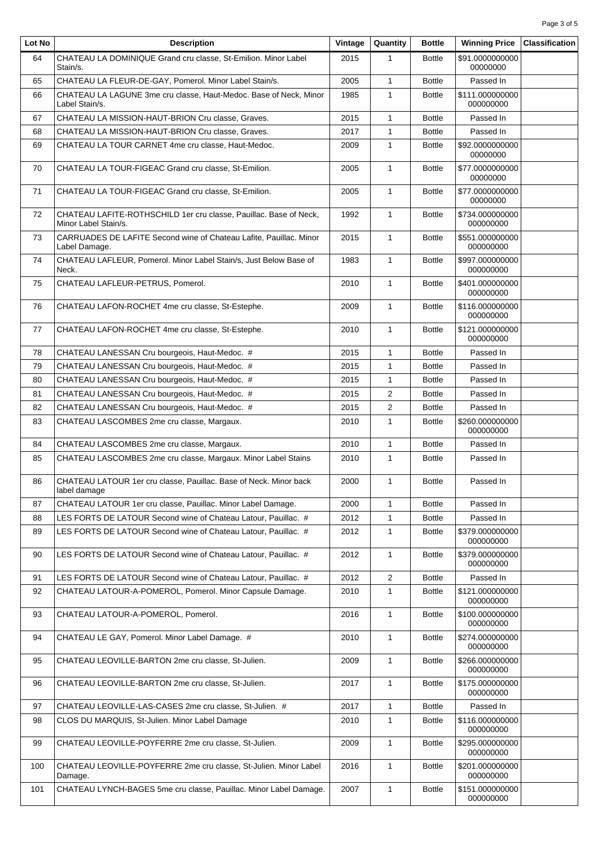| Lot No | <b>Description</b>                                                                        | Vintage | Quantity       | <b>Bottle</b> | <b>Winning Price</b>         | <b>Classification</b> |
|--------|-------------------------------------------------------------------------------------------|---------|----------------|---------------|------------------------------|-----------------------|
| 64     | CHATEAU LA DOMINIQUE Grand cru classe, St-Emilion. Minor Label<br>Stain/s.                | 2015    | 1              | Bottle        | \$91.0000000000<br>00000000  |                       |
| 65     | CHATEAU LA FLEUR-DE-GAY, Pomerol. Minor Label Stain/s.                                    | 2005    | $\mathbf{1}$   | <b>Bottle</b> | Passed In                    |                       |
| 66     | CHATEAU LA LAGUNE 3me cru classe, Haut-Medoc. Base of Neck, Minor<br>Label Stain/s.       | 1985    | $\mathbf{1}$   | <b>Bottle</b> | \$111.000000000<br>000000000 |                       |
| 67     | CHATEAU LA MISSION-HAUT-BRION Cru classe, Graves.                                         | 2015    | 1              | <b>Bottle</b> | Passed In                    |                       |
| 68     | CHATEAU LA MISSION-HAUT-BRION Cru classe, Graves.                                         | 2017    | 1              | <b>Bottle</b> | Passed In                    |                       |
| 69     | CHATEAU LA TOUR CARNET 4me cru classe, Haut-Medoc.                                        | 2009    | $\mathbf{1}$   | <b>Bottle</b> | \$92.0000000000<br>00000000  |                       |
| 70     | CHATEAU LA TOUR-FIGEAC Grand cru classe, St-Emilion.                                      | 2005    | $\mathbf{1}$   | <b>Bottle</b> | \$77.0000000000<br>00000000  |                       |
| 71     | CHATEAU LA TOUR-FIGEAC Grand cru classe, St-Emilion.                                      | 2005    | $\mathbf{1}$   | <b>Bottle</b> | \$77.0000000000<br>00000000  |                       |
| 72     | CHATEAU LAFITE-ROTHSCHILD 1er cru classe, Pauillac. Base of Neck,<br>Minor Label Stain/s. | 1992    | $\mathbf{1}$   | <b>Bottle</b> | \$734.000000000<br>000000000 |                       |
| 73     | CARRUADES DE LAFITE Second wine of Chateau Lafite, Pauillac. Minor<br>Label Damage.       | 2015    | $\mathbf{1}$   | <b>Bottle</b> | \$551.000000000<br>000000000 |                       |
| 74     | CHATEAU LAFLEUR, Pomerol. Minor Label Stain/s, Just Below Base of<br>Neck.                | 1983    | $\mathbf{1}$   | <b>Bottle</b> | \$997.000000000<br>000000000 |                       |
| 75     | CHATEAU LAFLEUR-PETRUS, Pomerol.                                                          | 2010    | $\mathbf{1}$   | <b>Bottle</b> | \$401.000000000<br>000000000 |                       |
| 76     | CHATEAU LAFON-ROCHET 4me cru classe, St-Estephe.                                          | 2009    | $\mathbf{1}$   | <b>Bottle</b> | \$116.000000000<br>000000000 |                       |
| 77     | CHATEAU LAFON-ROCHET 4me cru classe, St-Estephe.                                          | 2010    | $\mathbf{1}$   | <b>Bottle</b> | \$121.000000000<br>000000000 |                       |
| 78     | CHATEAU LANESSAN Cru bourgeois, Haut-Medoc. #                                             | 2015    | $\mathbf{1}$   | <b>Bottle</b> | Passed In                    |                       |
| 79     | CHATEAU LANESSAN Cru bourgeois, Haut-Medoc. #                                             | 2015    | 1              | <b>Bottle</b> | Passed In                    |                       |
| 80     | CHATEAU LANESSAN Cru bourgeois, Haut-Medoc. #                                             | 2015    | $\mathbf{1}$   | <b>Bottle</b> | Passed In                    |                       |
| 81     | CHATEAU LANESSAN Cru bourgeois, Haut-Medoc. #                                             | 2015    | $\overline{2}$ | <b>Bottle</b> | Passed In                    |                       |
| 82     | CHATEAU LANESSAN Cru bourgeois, Haut-Medoc. #                                             | 2015    | 2              | <b>Bottle</b> | Passed In                    |                       |
| 83     | CHATEAU LASCOMBES 2me cru classe, Margaux.                                                | 2010    | $\mathbf{1}$   | <b>Bottle</b> | \$260.000000000<br>000000000 |                       |
| 84     | CHATEAU LASCOMBES 2me cru classe, Margaux.                                                | 2010    | $\mathbf{1}$   | <b>Bottle</b> | Passed In                    |                       |
| 85     | CHATEAU LASCOMBES 2me cru classe, Margaux. Minor Label Stains                             | 2010    | $\mathbf{1}$   | <b>Bottle</b> | Passed In                    |                       |
| 86     | CHATEAU LATOUR 1er cru classe, Pauillac. Base of Neck. Minor back<br>label damage         | 2000    | $\mathbf{1}$   | <b>Bottle</b> | Passed In                    |                       |
| 87     | CHATEAU LATOUR 1er cru classe, Pauillac. Minor Label Damage.                              | 2000    | 1              | <b>Bottle</b> | Passed In                    |                       |
| 88     | LES FORTS DE LATOUR Second wine of Chateau Latour, Pauillac. #                            | 2012    | 1              | <b>Bottle</b> | Passed In                    |                       |
| 89     | LES FORTS DE LATOUR Second wine of Chateau Latour, Pauillac. #                            | 2012    | $\mathbf{1}$   | <b>Bottle</b> | \$379.000000000<br>000000000 |                       |
| 90     | LES FORTS DE LATOUR Second wine of Chateau Latour, Pauillac. #                            | 2012    | $\mathbf{1}$   | <b>Bottle</b> | \$379.000000000<br>000000000 |                       |
| 91     | LES FORTS DE LATOUR Second wine of Chateau Latour, Pauillac. #                            | 2012    | $\overline{2}$ | <b>Bottle</b> | Passed In                    |                       |
| 92     | CHATEAU LATOUR-A-POMEROL, Pomerol. Minor Capsule Damage.                                  | 2010    | $\mathbf{1}$   | <b>Bottle</b> | \$121.000000000<br>000000000 |                       |
| 93     | CHATEAU LATOUR-A-POMEROL, Pomerol.                                                        | 2016    | $\mathbf{1}$   | <b>Bottle</b> | \$100.000000000<br>000000000 |                       |
| 94     | CHATEAU LE GAY, Pomerol. Minor Label Damage. #                                            | 2010    | $\mathbf{1}$   | <b>Bottle</b> | \$274.000000000<br>000000000 |                       |
| 95     | CHATEAU LEOVILLE-BARTON 2me cru classe, St-Julien.                                        | 2009    | $\mathbf{1}$   | <b>Bottle</b> | \$266.000000000<br>000000000 |                       |
| 96     | CHATEAU LEOVILLE-BARTON 2me cru classe, St-Julien.                                        | 2017    | $\mathbf{1}$   | <b>Bottle</b> | \$175.000000000<br>000000000 |                       |
| 97     | CHATEAU LEOVILLE-LAS-CASES 2me cru classe, St-Julien. #                                   | 2017    | $\mathbf{1}$   | <b>Bottle</b> | Passed In                    |                       |
| 98     | CLOS DU MARQUIS, St-Julien. Minor Label Damage                                            | 2010    | 1              | <b>Bottle</b> | \$116.000000000<br>000000000 |                       |
| 99     | CHATEAU LEOVILLE-POYFERRE 2me cru classe, St-Julien.                                      | 2009    | $\mathbf{1}$   | <b>Bottle</b> | \$295.000000000<br>000000000 |                       |
| 100    | CHATEAU LEOVILLE-POYFERRE 2me cru classe, St-Julien. Minor Label<br>Damage.               | 2016    | $\mathbf{1}$   | <b>Bottle</b> | \$201.000000000<br>000000000 |                       |
| 101    | CHATEAU LYNCH-BAGES 5me cru classe, Pauillac. Minor Label Damage.                         | 2007    | $\mathbf{1}$   | <b>Bottle</b> | \$151.000000000<br>000000000 |                       |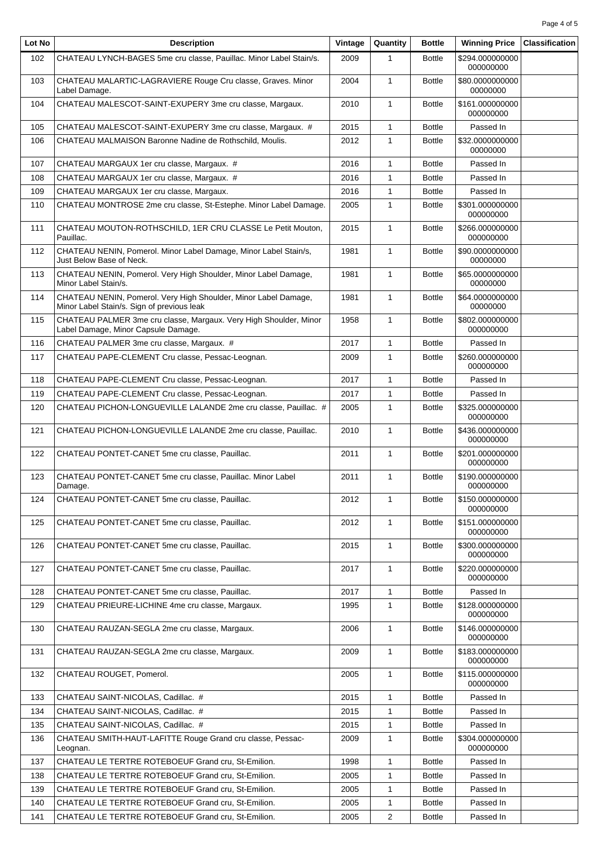| Lot No | <b>Description</b>                                                                                            | Vintage | Quantity       | <b>Bottle</b> | <b>Winning Price</b>         | <b>Classification</b> |
|--------|---------------------------------------------------------------------------------------------------------------|---------|----------------|---------------|------------------------------|-----------------------|
| 102    | CHATEAU LYNCH-BAGES 5me cru classe, Pauillac. Minor Label Stain/s.                                            | 2009    | $\mathbf{1}$   | <b>Bottle</b> | \$294.000000000<br>000000000 |                       |
| 103    | CHATEAU MALARTIC-LAGRAVIERE Rouge Cru classe, Graves. Minor<br>Label Damage.                                  | 2004    | $\mathbf{1}$   | <b>Bottle</b> | \$80.0000000000<br>00000000  |                       |
| 104    | CHATEAU MALESCOT-SAINT-EXUPERY 3me cru classe, Margaux.                                                       | 2010    | $\mathbf{1}$   | <b>Bottle</b> | \$161.000000000<br>000000000 |                       |
| 105    | CHATEAU MALESCOT-SAINT-EXUPERY 3me cru classe, Margaux. #                                                     | 2015    | $\mathbf{1}$   | <b>Bottle</b> | Passed In                    |                       |
| 106    | CHATEAU MALMAISON Baronne Nadine de Rothschild, Moulis.                                                       | 2012    | $\mathbf{1}$   | <b>Bottle</b> | \$32.0000000000<br>00000000  |                       |
| 107    | CHATEAU MARGAUX 1er cru classe, Margaux. #                                                                    | 2016    | 1              | <b>Bottle</b> | Passed In                    |                       |
| 108    | CHATEAU MARGAUX 1er cru classe, Margaux. #                                                                    | 2016    | $\mathbf{1}$   | <b>Bottle</b> | Passed In                    |                       |
| 109    | CHATEAU MARGAUX 1er cru classe, Margaux.                                                                      | 2016    | 1              | <b>Bottle</b> | Passed In                    |                       |
| 110    | CHATEAU MONTROSE 2me cru classe, St-Estephe. Minor Label Damage.                                              | 2005    | $\mathbf{1}$   | <b>Bottle</b> | \$301.000000000<br>000000000 |                       |
| 111    | CHATEAU MOUTON-ROTHSCHILD, 1ER CRU CLASSE Le Petit Mouton,<br>Pauillac.                                       | 2015    | 1              | <b>Bottle</b> | \$266.000000000<br>000000000 |                       |
| 112    | CHATEAU NENIN, Pomerol. Minor Label Damage, Minor Label Stain/s,<br>Just Below Base of Neck.                  | 1981    | 1              | <b>Bottle</b> | \$90.0000000000<br>00000000  |                       |
| 113    | CHATEAU NENIN, Pomerol. Very High Shoulder, Minor Label Damage,<br>Minor Label Stain/s.                       | 1981    | $\mathbf{1}$   | <b>Bottle</b> | \$65,0000000000<br>00000000  |                       |
| 114    | CHATEAU NENIN, Pomerol. Very High Shoulder, Minor Label Damage,<br>Minor Label Stain/s. Sign of previous leak | 1981    | $\mathbf{1}$   | <b>Bottle</b> | \$64.0000000000<br>00000000  |                       |
| 115    | CHATEAU PALMER 3me cru classe, Margaux. Very High Shoulder, Minor<br>Label Damage, Minor Capsule Damage.      | 1958    | $\mathbf{1}$   | <b>Bottle</b> | \$802.000000000<br>000000000 |                       |
| 116    | CHATEAU PALMER 3me cru classe, Margaux. #                                                                     | 2017    | $\mathbf{1}$   | <b>Bottle</b> | Passed In                    |                       |
| 117    | CHATEAU PAPE-CLEMENT Cru classe, Pessac-Leognan.                                                              | 2009    | $\mathbf{1}$   | <b>Bottle</b> | \$260.000000000<br>000000000 |                       |
| 118    | CHATEAU PAPE-CLEMENT Cru classe, Pessac-Leognan.                                                              | 2017    | 1              | <b>Bottle</b> | Passed In                    |                       |
| 119    | CHATEAU PAPE-CLEMENT Cru classe, Pessac-Leognan.                                                              | 2017    | $\mathbf{1}$   | <b>Bottle</b> | Passed In                    |                       |
| 120    | CHATEAU PICHON-LONGUEVILLE LALANDE 2me cru classe, Pauillac. #                                                | 2005    | 1              | <b>Bottle</b> | \$325.000000000<br>000000000 |                       |
| 121    | CHATEAU PICHON-LONGUEVILLE LALANDE 2me cru classe, Pauillac.                                                  | 2010    | $\mathbf{1}$   | <b>Bottle</b> | \$436.000000000<br>000000000 |                       |
| 122    | CHATEAU PONTET-CANET 5me cru classe, Pauillac.                                                                | 2011    | $\mathbf{1}$   | <b>Bottle</b> | \$201.000000000<br>000000000 |                       |
| 123    | CHATEAU PONTET-CANET 5me cru classe, Pauillac. Minor Label<br>Damage.                                         | 2011    | $\mathbf{1}$   | <b>Bottle</b> | \$190.000000000<br>000000000 |                       |
| 124    | CHATEAU PONTET-CANET 5me cru classe, Pauillac.                                                                | 2012    | 1              | <b>Bottle</b> | \$150.000000000<br>000000000 |                       |
| 125    | CHATEAU PONTET-CANET 5me cru classe, Pauillac.                                                                | 2012    | $\mathbf{1}$   | <b>Bottle</b> | \$151.000000000<br>000000000 |                       |
| 126    | CHATEAU PONTET-CANET 5me cru classe, Pauillac.                                                                | 2015    | $\mathbf{1}$   | <b>Bottle</b> | \$300.000000000<br>000000000 |                       |
| 127    | CHATEAU PONTET-CANET 5me cru classe, Pauillac.                                                                | 2017    | $\mathbf{1}$   | <b>Bottle</b> | \$220.000000000<br>000000000 |                       |
| 128    | CHATEAU PONTET-CANET 5me cru classe, Pauillac.                                                                | 2017    | $\mathbf{1}$   | <b>Bottle</b> | Passed In                    |                       |
| 129    | CHATEAU PRIEURE-LICHINE 4me cru classe, Margaux.                                                              | 1995    | $\mathbf{1}$   | <b>Bottle</b> | \$128.000000000<br>000000000 |                       |
| 130    | CHATEAU RAUZAN-SEGLA 2me cru classe, Margaux.                                                                 | 2006    | $\mathbf{1}$   | <b>Bottle</b> | \$146.000000000<br>000000000 |                       |
| 131    | CHATEAU RAUZAN-SEGLA 2me cru classe, Margaux.                                                                 | 2009    | $\mathbf{1}$   | <b>Bottle</b> | \$183.000000000<br>000000000 |                       |
| 132    | CHATEAU ROUGET, Pomerol.                                                                                      | 2005    | $\mathbf{1}$   | <b>Bottle</b> | \$115.000000000<br>000000000 |                       |
| 133    | CHATEAU SAINT-NICOLAS, Cadillac. #                                                                            | 2015    | $\mathbf{1}$   | <b>Bottle</b> | Passed In                    |                       |
| 134    | CHATEAU SAINT-NICOLAS, Cadillac. #                                                                            | 2015    | 1              | <b>Bottle</b> | Passed In                    |                       |
| 135    | CHATEAU SAINT-NICOLAS, Cadillac. #                                                                            | 2015    | 1              | <b>Bottle</b> | Passed In                    |                       |
| 136    | CHATEAU SMITH-HAUT-LAFITTE Rouge Grand cru classe, Pessac-<br>Leognan.                                        | 2009    | $\mathbf{1}$   | <b>Bottle</b> | \$304.000000000<br>000000000 |                       |
| 137    | CHATEAU LE TERTRE ROTEBOEUF Grand cru, St-Emilion.                                                            | 1998    | $\mathbf{1}$   | <b>Bottle</b> | Passed In                    |                       |
| 138    | CHATEAU LE TERTRE ROTEBOEUF Grand cru, St-Emilion.                                                            | 2005    | 1              | <b>Bottle</b> | Passed In                    |                       |
| 139    | CHATEAU LE TERTRE ROTEBOEUF Grand cru, St-Emilion.                                                            | 2005    | 1              | <b>Bottle</b> | Passed In                    |                       |
| 140    | CHATEAU LE TERTRE ROTEBOEUF Grand cru, St-Emilion.                                                            | 2005    | $\mathbf{1}$   | <b>Bottle</b> | Passed In                    |                       |
| 141    | CHATEAU LE TERTRE ROTEBOEUF Grand cru, St-Emilion.                                                            | 2005    | $\overline{2}$ | <b>Bottle</b> | Passed In                    |                       |